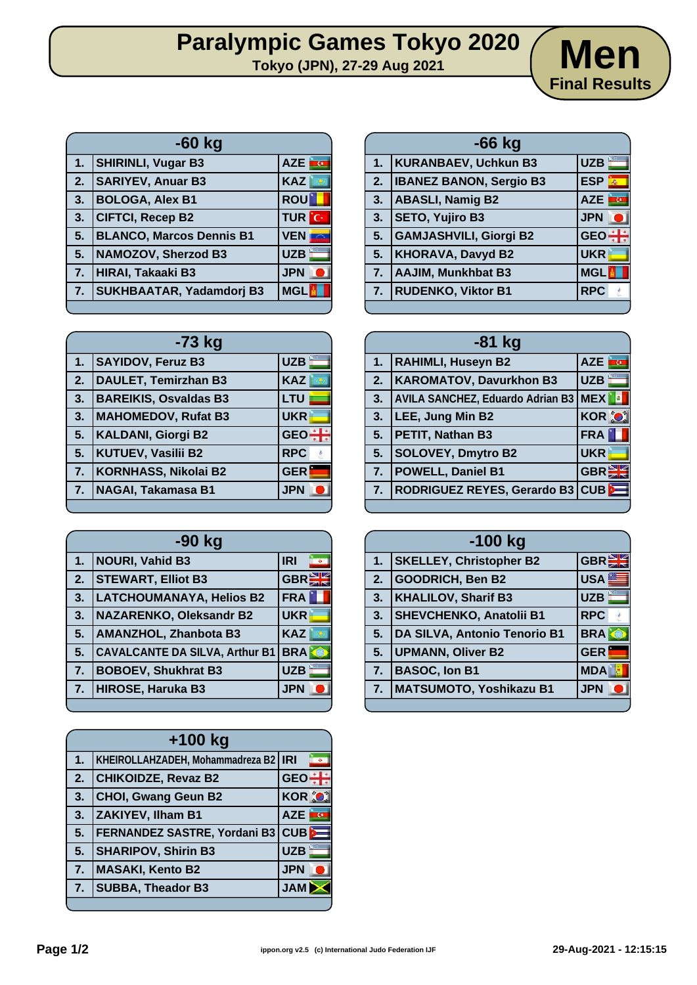## **Paralympic Games Tokyo 2020** Men

**Final Results**

| $-60$ kg       |                                 |               |
|----------------|---------------------------------|---------------|
| 1.             | <b>SHIRINLI, Vugar B3</b>       | AZE <b>FG</b> |
| 2.             | <b>SARIYEV, Anuar B3</b>        | <b>KAZ</b>    |
| 3.             | <b>BOLOGA, Alex B1</b>          | <b>ROU</b>    |
| 3.             | <b>CIFTCI, Recep B2</b>         | <b>TUR</b> C  |
| 5.             | <b>BLANCO, Marcos Dennis B1</b> | <b>VEN</b>    |
| 5.             | NAMOZOV, Sherzod B3             | <b>UZB</b>    |
| 7.             | HIRAI, Takaaki B3               | <b>JPN</b>    |
| 7 <sub>1</sub> | <b>SUKHBAATAR, Yadamdorj B3</b> | <b>MGL</b>    |
|                |                                 |               |

| -73 kg |                              |            |
|--------|------------------------------|------------|
| 1.     | <b>SAYIDOV, Feruz B3</b>     | <b>UZB</b> |
| 2.     | <b>DAULET, Temirzhan B3</b>  | <b>KAZ</b> |
| 3.     | <b>BAREIKIS, Osvaldas B3</b> | LTU        |
| 3.     | <b>MAHOMEDOV, Rufat B3</b>   | <b>UKR</b> |
| 5.     | <b>KALDANI, Giorgi B2</b>    | <b>GEO</b> |
| 5.     | <b>KUTUEV, Vasilii B2</b>    | <b>RPC</b> |
| 7.     | KORNHASS, Nikolai B2         | <b>GER</b> |
| 7.     | NAGAI, Takamasa B1           | <b>JPN</b> |
|        |                              |            |

| -90 kg |                                       |            |
|--------|---------------------------------------|------------|
| 1.     | <b>NOURI, Vahid B3</b>                | <b>IRI</b> |
| 2.     | <b>STEWART, Elliot B3</b>             | <b>GBR</b> |
| 3.     | <b>LATCHOUMANAYA, Helios B2</b>       | <b>FRA</b> |
| 3.     | <b>NAZARENKO, Oleksandr B2</b>        | <b>UKR</b> |
| 5.     | <b>AMANZHOL, Zhanbota B3</b>          | <b>KAZ</b> |
| 5.     | <b>CAVALCANTE DA SILVA, Arthur B1</b> | <b>BRA</b> |
| 7.     | <b>BOBOEV, Shukhrat B3</b>            | <b>UZB</b> |
| 7.     | <b>HIROSE, Haruka B3</b>              | <b>JPN</b> |
|        |                                       |            |

| $+100$ kg        |                                        |            |                         |
|------------------|----------------------------------------|------------|-------------------------|
| 1.               | KHEIROLLAHZADEH, Mohammadreza B2   IRI |            |                         |
| 2.               | <b>CHIKOIDZE, Revaz B2</b>             | GEO÷       |                         |
| 3.               | <b>CHOI, Gwang Geun B2</b>             | KOR O      |                         |
| 3.               | <b>ZAKIYEV, Ilham B1</b>               | <b>AZE</b> | $\overline{\mathbf{G}}$ |
| 5.               | <b>FERNANDEZ SASTRE, Yordani B3</b>    | CUB        |                         |
| 5.               | <b>SHARIPOV, Shirin B3</b>             | <b>UZB</b> |                         |
| $\overline{7}$ . | <b>MASAKI, Kento B2</b>                | <b>JPN</b> |                         |
| 7.               | <b>SUBBA, Theador B3</b>               | <b>JAM</b> |                         |
|                  |                                        |            |                         |

|    | $-66$ kg                       |                 |
|----|--------------------------------|-----------------|
| 1. | <b>KURANBAEV, Uchkun B3</b>    | UZB-            |
| 2. | <b>IBANEZ BANON, Sergio B3</b> | <b>ESP</b><br>燕 |
| 3. | <b>ABASLI, Namig B2</b>        | in con<br>AZE   |
| 3. | <b>SETO, Yujiro B3</b>         | <b>JPN</b>      |
| 5. | <b>GAMJASHVILI, Giorgi B2</b>  | $GEO +$         |
| 5. | <b>KHORAVA, Davyd B2</b>       | <b>UKR</b>      |
| 7. | AAJIM, Munkhbat B3             | <b>MGL</b>      |
| 7. | <b>RUDENKO, Viktor B1</b>      | <b>RPC</b>      |
|    |                                |                 |

| $-81$ kg |                                             |               |
|----------|---------------------------------------------|---------------|
| 1.       | <b>RAHIMLI, Huseyn B2</b>                   | <b>AZE</b>    |
| 2.       | <b>KAROMATOV, Davurkhon B3</b>              | <b>UZB</b>    |
| 3.       | <b>AVILA SANCHEZ, Eduardo Adrian B3 MEX</b> |               |
| 3.       | LEE, Jung Min B2                            | <b>KOR OF</b> |
| 5.       | PETIT, Nathan B3                            | <b>FRA</b>    |
| 5.       | <b>SOLOVEY, Dmytro B2</b>                   | <b>UKR</b>    |
| 7.       | <b>POWELL, Daniel B1</b>                    | <b>GBREE</b>  |
| 7.       | RODRIGUEZ REYES, Gerardo B3                 | CUB           |
|          |                                             |               |

| $-100$ kg |                                |                  |
|-----------|--------------------------------|------------------|
| 1.        | <b>SKELLEY, Christopher B2</b> | <b>GBRE</b>      |
| 2.        | GOODRICH, Ben B2               | USA <sup>S</sup> |
| 3.        | <b>KHALILOV, Sharif B3</b>     | <b>UZB</b>       |
| 3.        | <b>SHEVCHENKO, Anatolii B1</b> | <b>RPC</b>       |
| 5.        | DA SILVA, Antonio Tenorio B1   | <b>BRA</b>       |
| 5.        | <b>UPMANN, Oliver B2</b>       | <b>GER</b>       |
| 7.        | <b>BASOC, Ion B1</b>           | <b>MDA</b>       |
| 7.        | MATSUMOTO, Yoshikazu B1        | <b>JPN</b>       |
|           |                                |                  |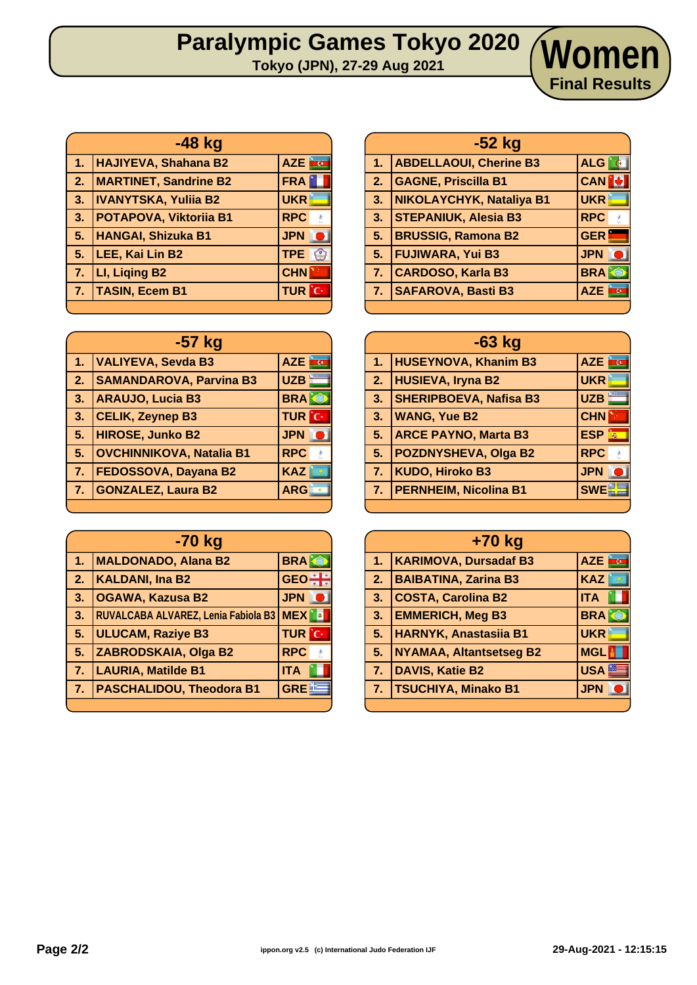## **Paralympic Games Tokyo 2020 TOKYO (JPN), 27-29 Aug 2021 Women**

|                | -48 kg                        |               |
|----------------|-------------------------------|---------------|
| 1 <sub>1</sub> | <b>HAJIYEVA, Shahana B2</b>   | AZE <b>TO</b> |
| 2.             | <b>MARTINET, Sandrine B2</b>  | <b>FRA</b>    |
| 3.             | <b>IVANYTSKA, Yuliia B2</b>   | <b>UKR</b>    |
| 3.             | <b>POTAPOVA, Viktoriia B1</b> | <b>RPC</b>    |
| 5.             | <b>HANGAI, Shizuka B1</b>     | <b>JPN</b>    |
| 5 <sub>1</sub> | LEE, Kai Lin B2               | <b>TPE</b>    |
| 7 <sub>1</sub> | LI, Liging B2                 | <b>CHN</b>    |
| 7.             | <b>TASIN, Ecem B1</b>         | <b>TUR</b> C  |
|                |                               |               |

| -57 kg           |                                 |              |
|------------------|---------------------------------|--------------|
| 1.               | <b>VALIYEVA, Sevda B3</b>       | AZE          |
| 2.               | <b>SAMANDAROVA, Parvina B3</b>  | <b>UZB</b>   |
| 3.               | <b>ARAUJO, Lucia B3</b>         | <b>BRA</b>   |
| 3.               | <b>CELIK, Zeynep B3</b>         | <b>TUR</b> C |
| 5.               | HIROSE, Junko B2                | <b>JPN</b>   |
| 5.               | <b>OVCHINNIKOVA, Natalia B1</b> | <b>RPC</b>   |
| $\overline{7}$ . | <b>FEDOSSOVA, Dayana B2</b>     | <b>KAZ</b>   |
| 7 <sub>1</sub>   | <b>GONZALEZ, Laura B2</b>       | <b>ARG</b>   |
|                  |                                 |              |

| -70 kg    |                                         |              |
|-----------|-----------------------------------------|--------------|
| 1.        | <b>MALDONADO, Alana B2</b>              | <b>BRA</b>   |
| 2.        | <b>KALDANI, Ina B2</b>                  | GEO $\div$   |
| 3.        | <b>OGAWA, Kazusa B2</b>                 | <b>JPN</b>   |
| <b>B.</b> | RUVALCABA ALVAREZ, Lenia Fabiola B3 MEX | <b>B</b>     |
| 5.        | <b>ULUCAM, Raziye B3</b>                | <b>TUR</b> C |
| 5.        | ZABRODSKAIA, Olga B2                    | <b>RPC</b>   |
| 7.        | <b>LAURIA, Matilde B1</b>               | <b>ITA</b>   |
| 7.        | <b>PASCHALIDOU, Theodora B1</b>         | <b>GRE</b>   |
|           |                                         |              |

| $-52$ kg       |                               |                      |
|----------------|-------------------------------|----------------------|
| 1.             | <b>ABDELLAOUI, Cherine B3</b> | ALG <sup>&amp;</sup> |
| 2.             | <b>GAGNE, Priscilla B1</b>    | <b>CAN</b>           |
| 3.             | NIKOLAYCHYK, Nataliya B1      | <b>UKR</b>           |
| 3.             | <b>STEPANIUK, Alesia B3</b>   | <b>RPC</b>           |
| 5.             | <b>BRUSSIG, Ramona B2</b>     | <b>GER</b>           |
| 5 <sub>1</sub> | <b>FUJIWARA, Yui B3</b>       | <b>JPN</b>           |
| 7.             | <b>CARDOSO, Karla B3</b>      | <b>BRA</b>           |
| 7 <sub>1</sub> | <b>SAFAROVA, Basti B3</b>     | <b>AZE</b>           |
|                |                               |                      |

**Final Results**

| $-63$ kg       |                               |                           |
|----------------|-------------------------------|---------------------------|
|                | 1. HUSEYNOVA, Khanim B3       | AZE <b>TO</b>             |
| 2.             | <b>HUSIEVA, Iryna B2</b>      | <b>UKR</b>                |
| 3.             | <b>SHERIPBOEVA, Nafisa B3</b> | <b>UZB</b>                |
| 3.             | <b>WANG, Yue B2</b>           | <b>CHN</b>                |
| 5.             | <b>ARCE PAYNO, Marta B3</b>   | <b>ESP</b><br>$\vec{m}_0$ |
| 5.             | <b>POZDNYSHEVA, Olga B2</b>   | <b>RPC</b>                |
| 7 <sub>1</sub> | <b>KUDO, Hiroko B3</b>        | <b>JPN</b>                |
|                | 7. PERNHEIM, Nicolina B1      | <b>SWE-LE</b>             |
|                |                               |                           |

| +70 kg |                                |               |  |  |  |  |  |
|--------|--------------------------------|---------------|--|--|--|--|--|
| 1.     | <b>KARIMOVA, Dursadaf B3</b>   | AZE <b>TO</b> |  |  |  |  |  |
| 2.     | <b>BAIBATINA, Zarina B3</b>    | <b>KAZ</b>    |  |  |  |  |  |
| 3.     | <b>COSTA, Carolina B2</b>      | <b>ITA</b>    |  |  |  |  |  |
| 3.     | <b>EMMERICH, Meg B3</b>        | <b>BRA</b>    |  |  |  |  |  |
| 5.     | <b>HARNYK, Anastasiia B1</b>   | <b>UKR</b>    |  |  |  |  |  |
| 5.     | <b>NYAMAA, Altantsetseg B2</b> | <b>MGL</b>    |  |  |  |  |  |
| 7.     | <b>DAVIS, Katie B2</b>         | <b>USA</b>    |  |  |  |  |  |
| 7.     | <b>TSUCHIYA, Minako B1</b>     | <b>JPN</b>    |  |  |  |  |  |
|        |                                |               |  |  |  |  |  |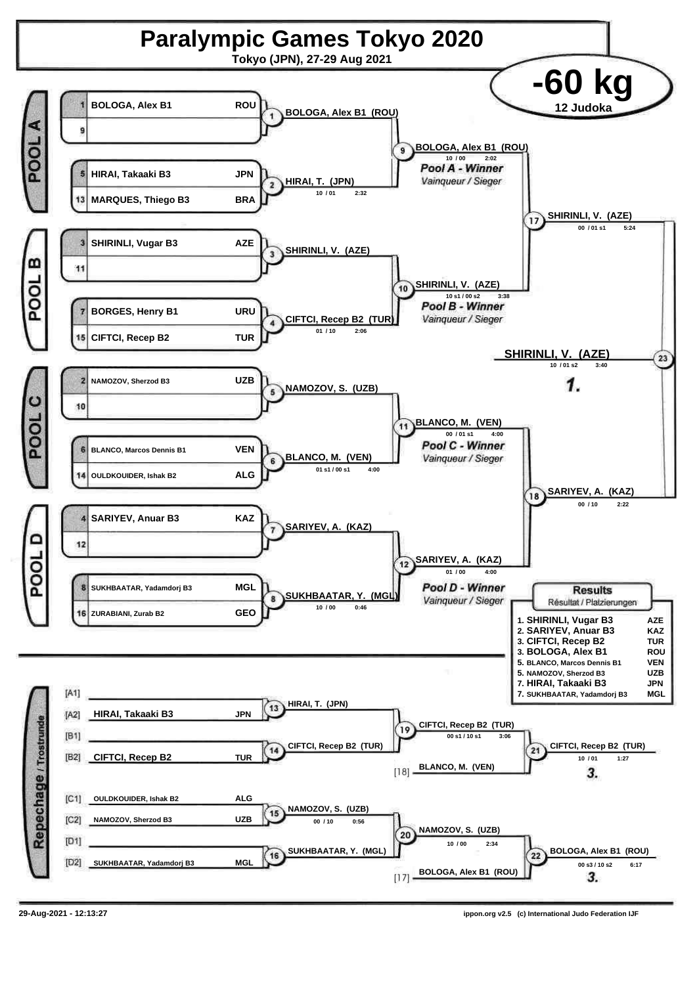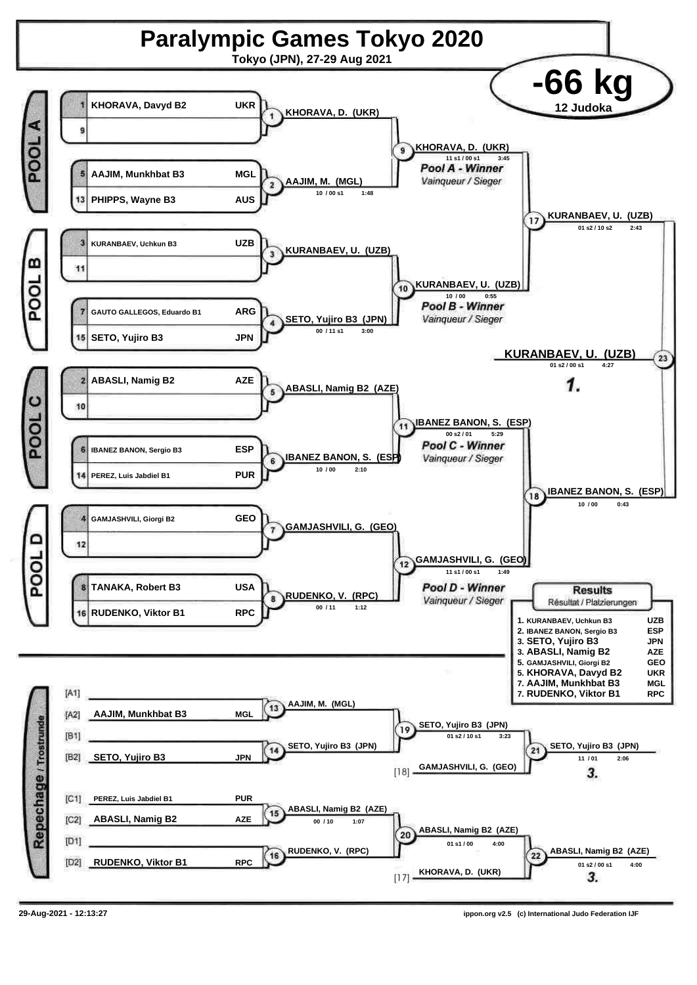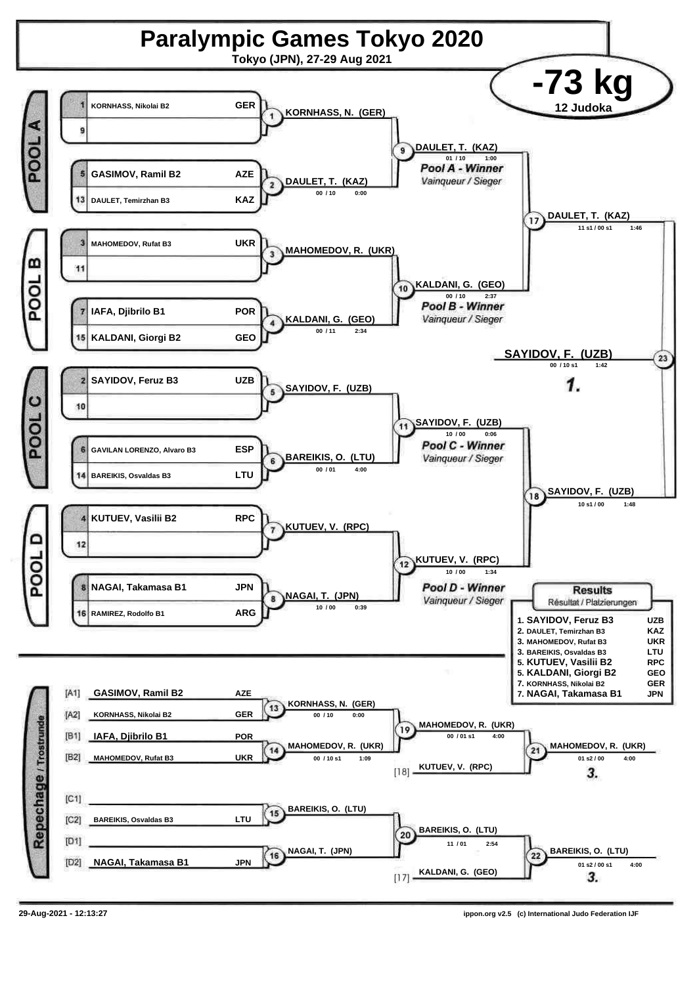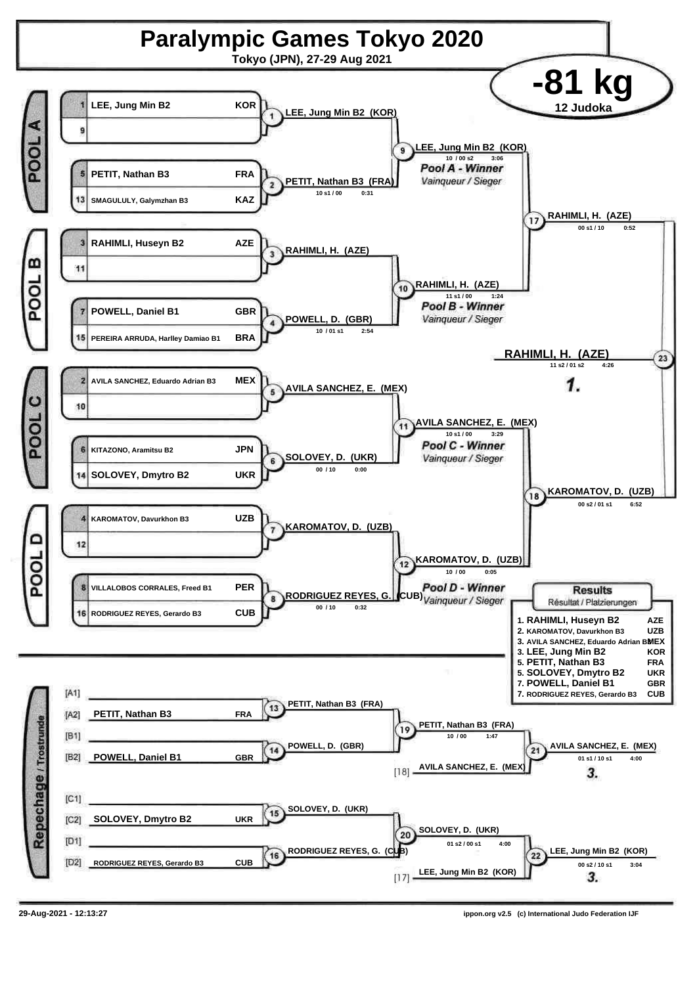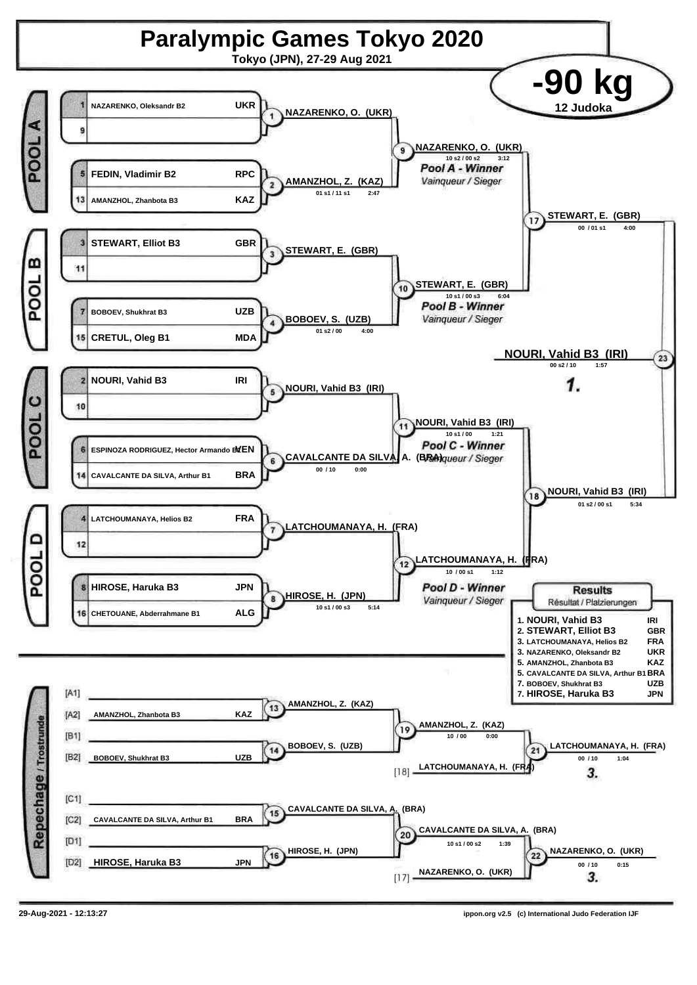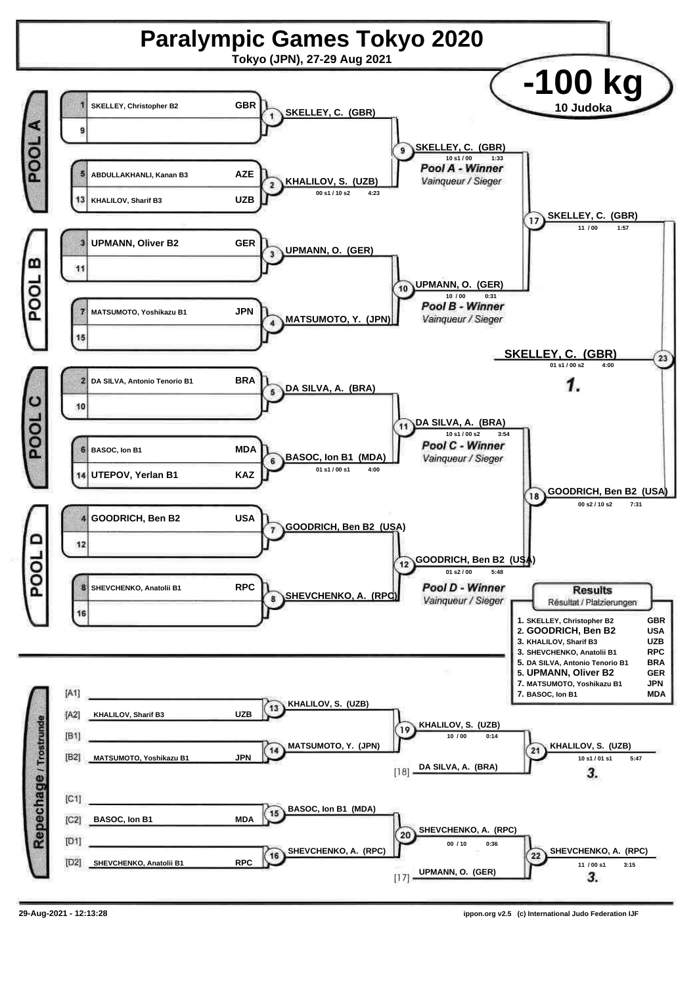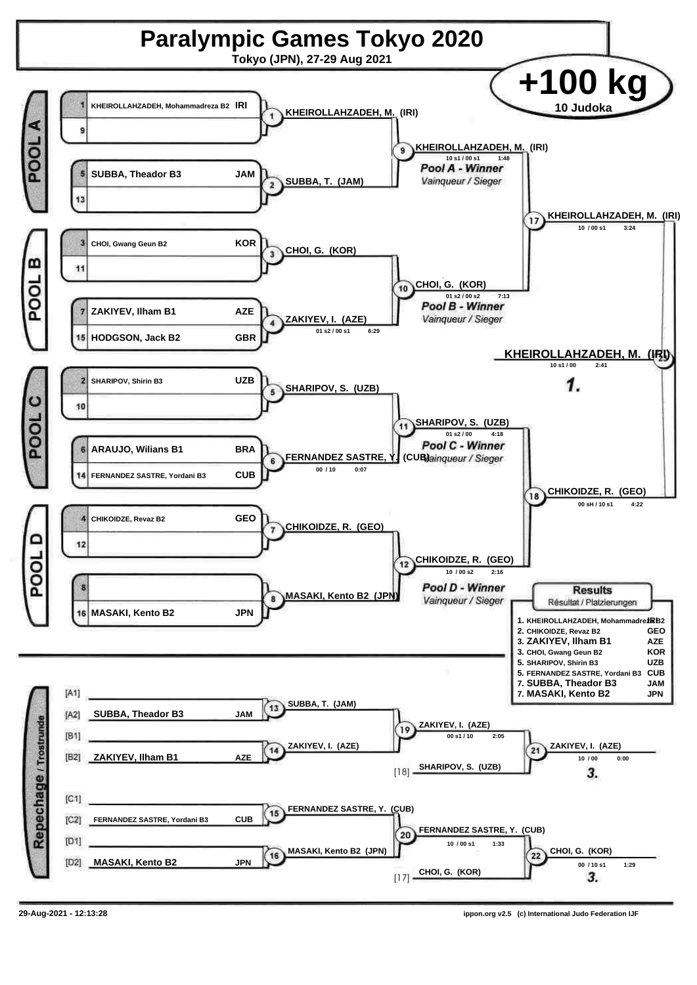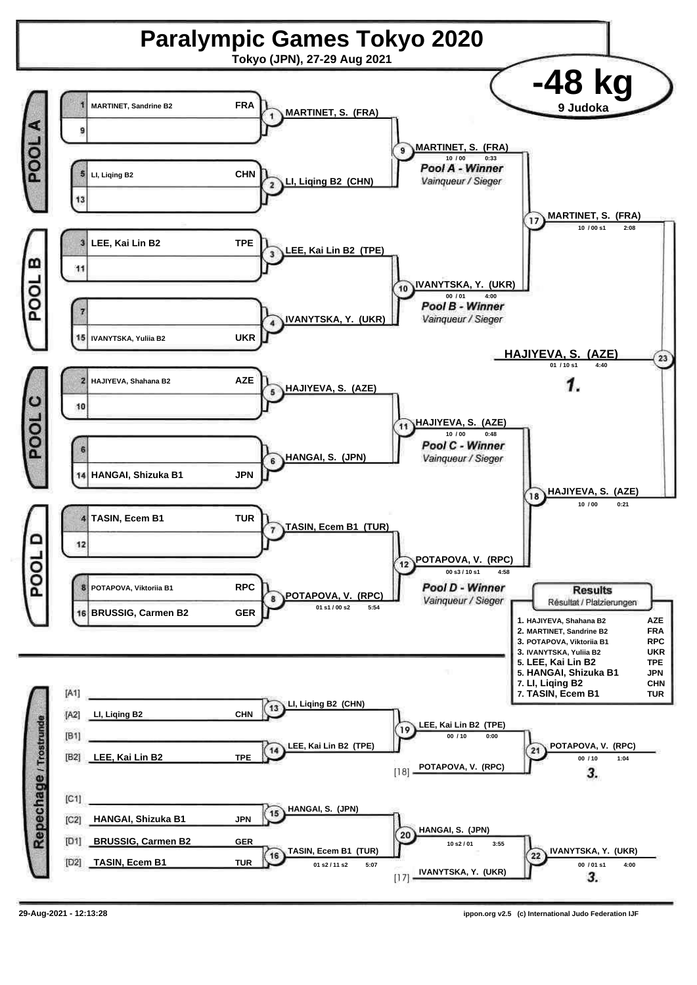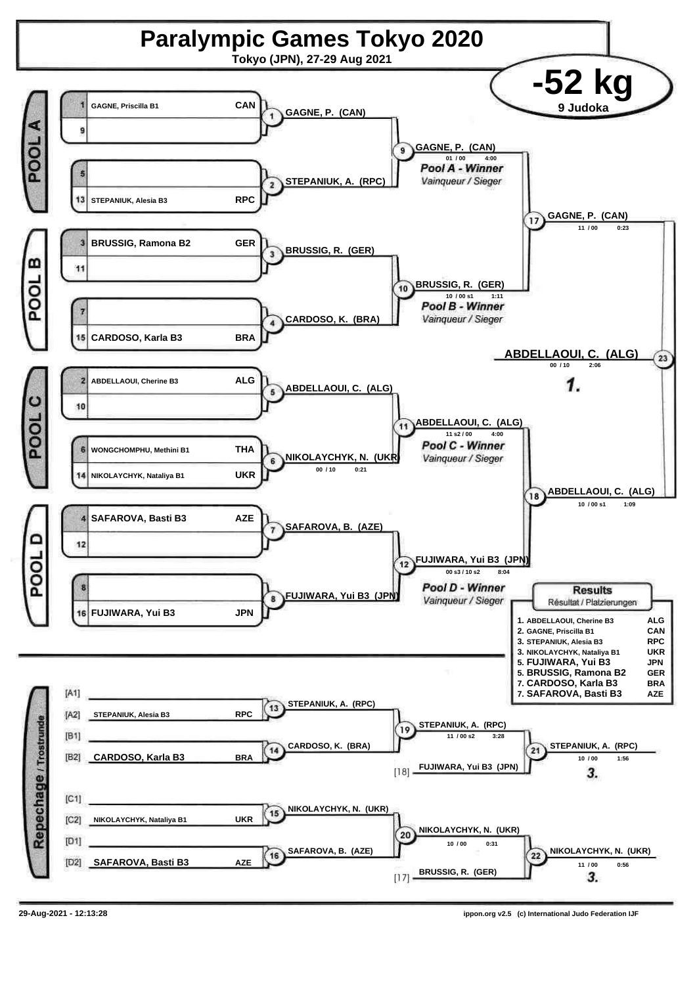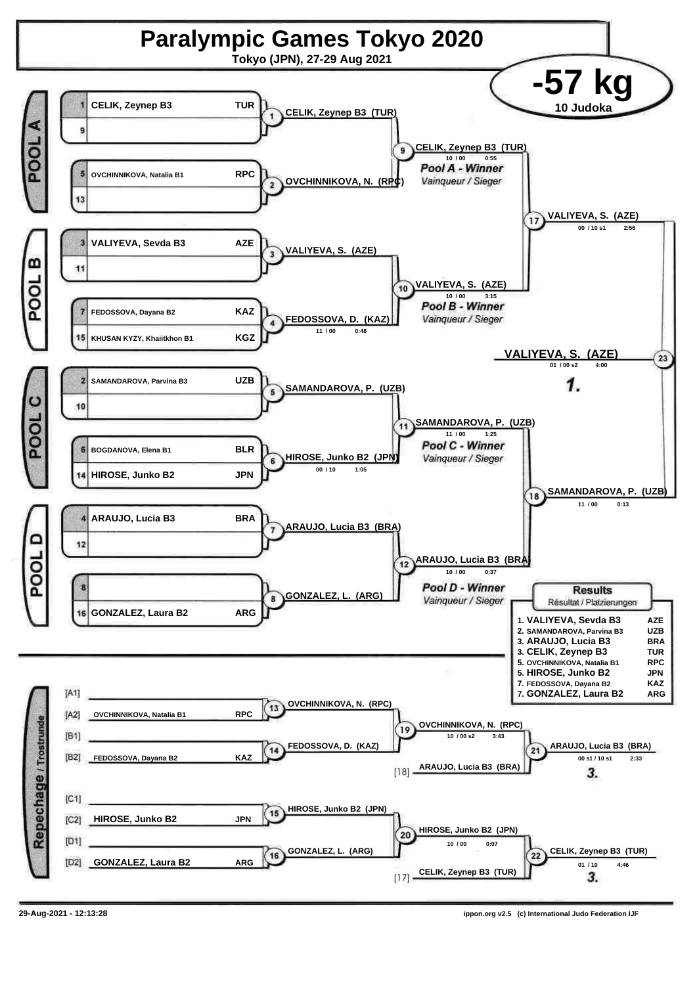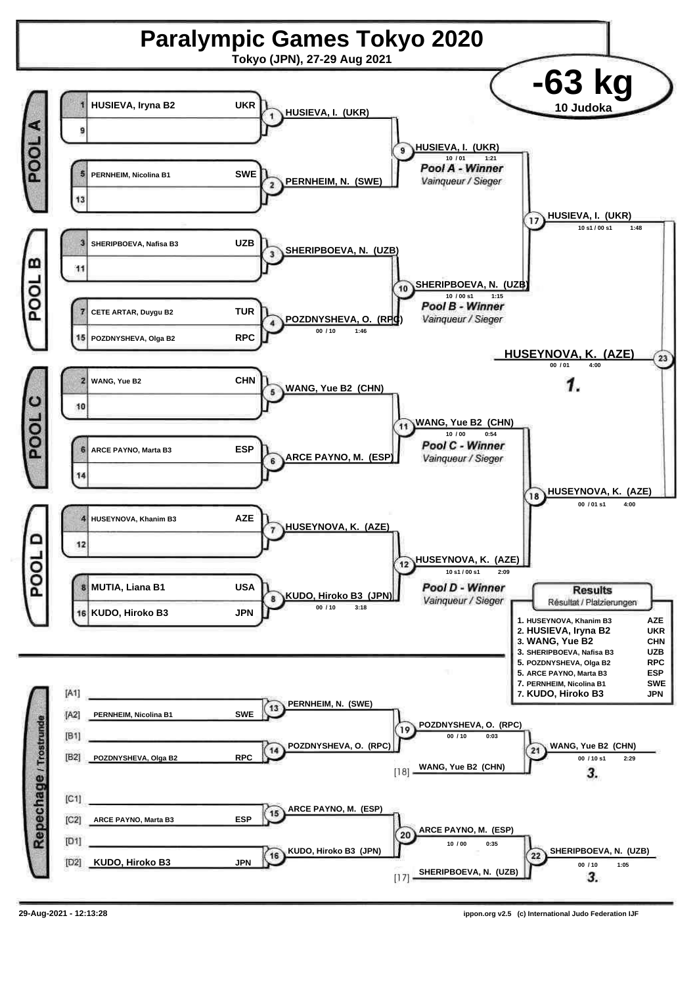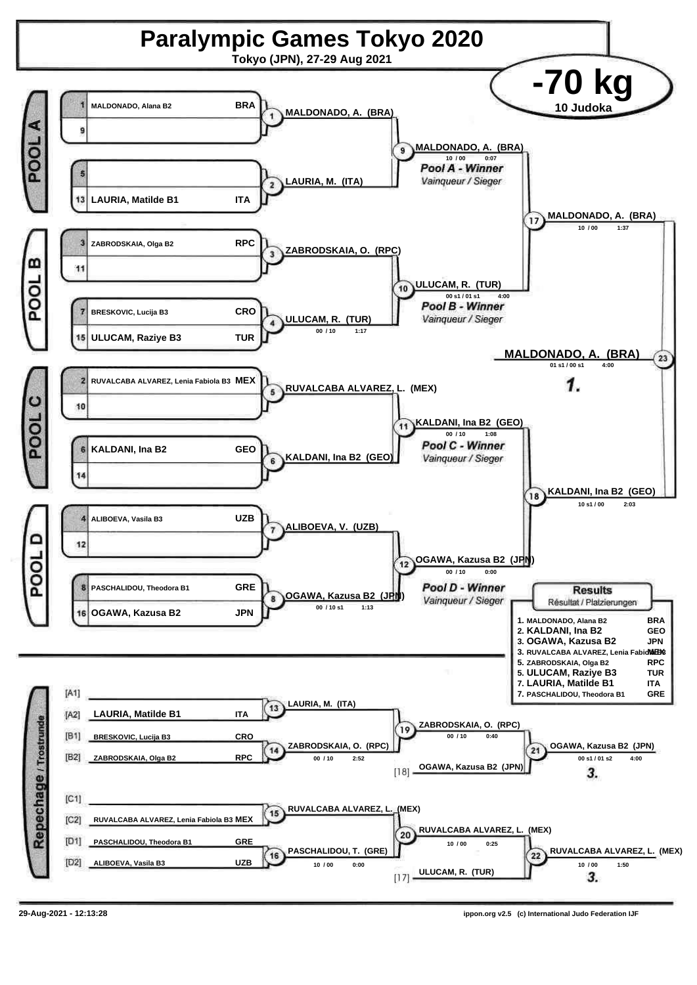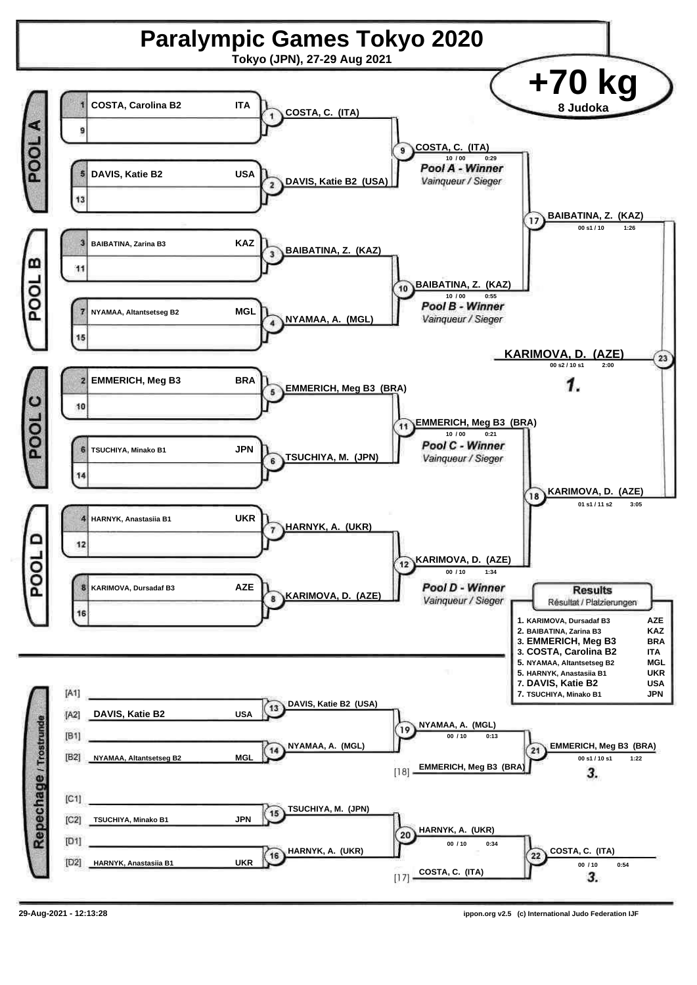